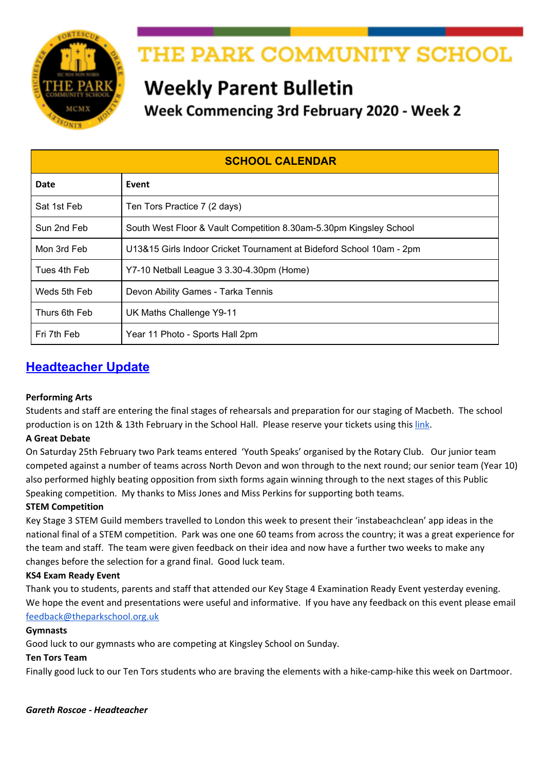

# THE PARK COMMUNITY SCHOOL

# **Weekly Parent Bulletin**

Week Commencing 3rd February 2020 - Week 2

| <b>SCHOOL CALENDAR</b> |                                                                      |  |
|------------------------|----------------------------------------------------------------------|--|
| Date                   | Event                                                                |  |
| Sat 1st Feb            | Ten Tors Practice 7 (2 days)                                         |  |
| Sun 2nd Feb            | South West Floor & Vault Competition 8.30am-5.30pm Kingsley School   |  |
| Mon 3rd Feb            | U13&15 Girls Indoor Cricket Tournament at Bideford School 10am - 2pm |  |
| Tues 4th Feb           | Y7-10 Netball League 3 3.30-4.30pm (Home)                            |  |
| Weds 5th Feb           | Devon Ability Games - Tarka Tennis                                   |  |
| Thurs 6th Feb          | UK Maths Challenge Y9-11                                             |  |
| Fri 7th Feb            | Year 11 Photo - Sports Hall 2pm                                      |  |

## **Headteacher Update**

## **Performing Arts**

Students and staff are entering the final stages of rehearsals and preparation for our staging of Macbeth. The school production is on 12th & 13th February in the School Hall. Please reserve your tickets using this [link](https://docs.google.com/forms/d/e/1FAIpQLSf2mqyMp3nMvNdlwgjqSRMqxBn6TpT5PmhBzrX-v_GioIezow/viewform).

## **A Great Debate**

On Saturday 25th February two Park teams entered 'Youth Speaks' organised by the Rotary Club. Our junior team competed against a number of teams across North Devon and won through to the next round; our senior team (Year 10) also performed highly beating opposition from sixth forms again winning through to the next stages of this Public Speaking competition. My thanks to Miss Jones and Miss Perkins for supporting both teams.

## **STEM Competition**

Key Stage 3 STEM Guild members travelled to London this week to present their 'instabeachclean' app ideas in the national final of a STEM competition. Park was one one 60 teams from across the country; it was a great experience for the team and staff. The team were given feedback on their idea and now have a further two weeks to make any changes before the selection for a grand final. Good luck team.

## **KS4 Exam Ready Event**

Thank you to students, parents and staff that attended our Key Stage 4 Examination Ready Event yesterday evening. We hope the event and presentations were useful and informative. If you have any feedback on this event please email [feedback@theparkschool.org.uk](mailto:feedback@theparkschool.org.uk)

## **Gymnasts**

Good luck to our gymnasts who are competing at Kingsley School on Sunday.

## **Ten Tors Team**

Finally good luck to our Ten Tors students who are braving the elements with a hike-camp-hike this week on Dartmoor.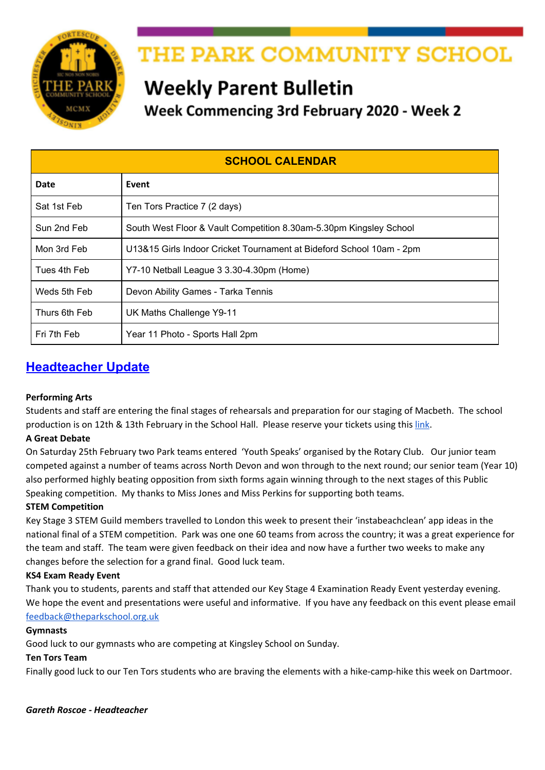## **South West Floor and Vault Gymnastics CompetitionCompetitions**

Twenty-one students in Year 7-11 are competing in the South West Floor and Vault Gymnastics Competition on Sunday at Kingsley School, we wish them all good luck!

## **Calling all writers!**

Park School English department is launching its very own writing competition. This will run termly with prizes for winners and runners-up, as well as entry into an annual published anthology.

This is open to all year groups and you will be judged against others in your year. This term's theme is 'New Beginnings'. See posters in the Library and English corridor for more details.

#### **Matrix Challenge**

Matrix Challenge is a FREE cyber security challenge created and organised by the Yorkshire and Humber Regional Cyber Crime Unit (YHRCCU), and is available to all 11-17 year olds residing in the United Kingdom.

The competition is split into two age groups – 11-14 years and 15-17 years.

Participants will be able to compete in the challenge from Monday 20th January to Friday 14th February 2020 and we are encouraging all students to have a go! to start just google "the matrix challenge". Good luck!



## **SCHOOL TRIPS**

Please ensure that you keep up to date with paying the instalments for any trips that your child has signed up for.

## **Year 10/11 Poland Trip - 14/2/20**

We urgently need passports and EHIC cards handed into school. Further to the information evening held for students and parents, we have emailed parents/carers a copy of the powerpoint. If you have any further questions please do not hesitate to email Mr Griffiths at **[sgriffiths@theparkschool.org.uk](mailto:sgriffiths@theparkschool.org.uk)**

#### **Torquay Residential**

Please return the medical form issued to students last term as soon as possible. The next instalment is also due for this trip.

## **French Residential**

Students do NOT need a passport. To apply for a GROUP passport, we require parents to complete and return the Collective Passport Questionnaire urgently, please kindly ensure you return the form as soon as possible.

#### **Bude Residential**

Letters regarding the Bude residential were issued to students in December 2019. **The reply slip and deposit payment should be received by 31st January in order to reserve a place.**

#### **Madrid February 2020**

We urgently need passports and EHIC cards handed into school. Further to the information evening held for students and parents this week please see the link to the [powerpoint](http://www.theparkschool.org.uk/sites/default/files/Madrid-Parents-meeting-2020.pdf) shown at the meeting.

#### **New York July 2020**

Please remember the final instalment is due on 1/2/20. We held a student meeting on Tuesday 14th January and issued a Parental Consent Form and Passport Form to be completed and returned by 1st February.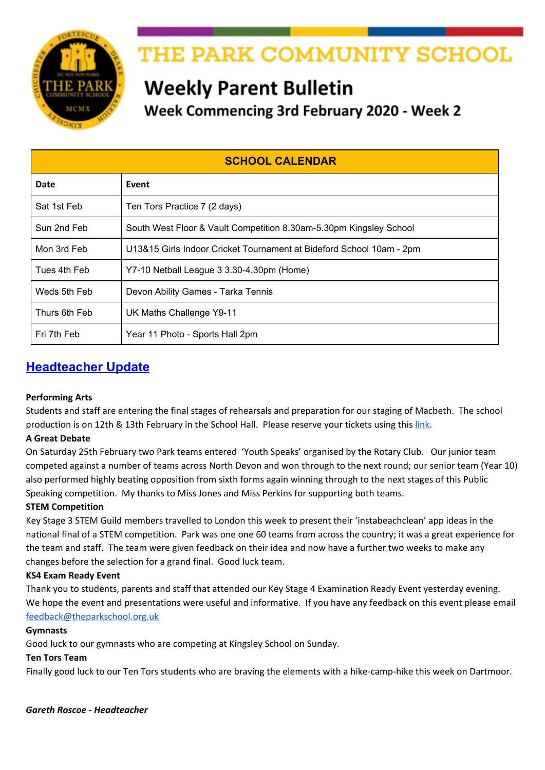## **Ski Trip 2020**

The balance should now be paid for this trip.

## **Ski Trip 2021**

We still have places left on our April 2021 Ski Trip, if your son/daughter is interested they should pick up a letter from pupil reception and return the reply slip. It is a fantastic opportunity to experience something new, either skiing or snowboarding, or improve technique if they are more experienced.

Videos of the Ski 2019 trip can be found by clicking below: Full Film - [https://youtu.be/757sL\\_PXyug](https://youtu.be/757sL_PXyug) Ski Fails - <https://youtu.be/E8fp0VuSvQc>

If you need to know any more details, please do not hesitate to contact Mr James: ljames@theparkschool.org.uk or contact the school office.

## **DONATION REQUESTS**

## **Girls Pants And Tights**

We are part of the Red Box Scheme which provides free sanitary ware for students. We keep in school girls pants and tights to be available when needed. We are currently short in stock of the following and would really appreciate any donations from parents/carers: **Tights - Black Opaque 60 Deniers - All sizes**

**Pants - Black briefs - All sizes**

Please hand any donations into the School Office.



## **Park Gardening Club**

Gardening club is starting after February half term and we need donations of gardening equipment, seeds and compost.

If you have any spare gardening gloves, wellies (in any size), forks and trowels, seed packs and compost bags, or any other useful gardening equipment, please donate to reception where it will be greatly received.

## **SCHOOL EVENTS**

## **Macbeth Performance 12th February**

Our Drama students will be performing the Shakespeare Schools Festival amended script of Macbeth on Wednesday 12th and Thursday 13th February 7-8 pm in the School Hall.

We would like this performance to be a 'Pay What You Can' on the evening event. To ensure you reserve your seat please confirm your attendance on a first come first served basis using the Google Form below.

#### Macbeth Seat [Reservations](https://docs.google.com/forms/d/e/1FAIpQLSf2mqyMp3nMvNdlwgjqSRMqxBn6TpT5PmhBzrX-v_GioIezow/viewform) Form

As this is an amended performance with no interval, refreshments will not be served.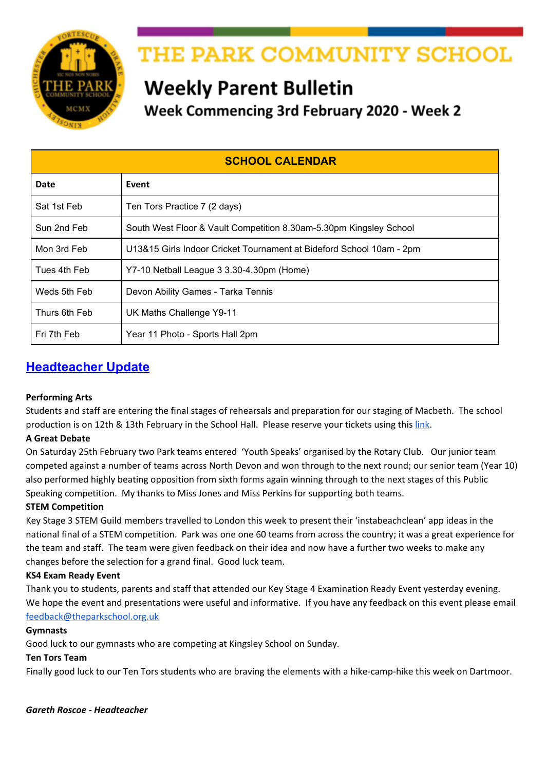# **Macbeth Cast Rehearsals W/C 3rd February**

#### Monday

Monday lunchtime with Mrs Stevens in Dr1 - ALL WITCHES and witches' cauldron.

#### **Tuesday**

Tuesday lunchtime with Mr Carroll in Dr2- The Murders Scene- All involved (both murderers, Ben McElfatrick)

#### Wednesday

- Wednesday lunchtime with Mr Carroll in Dr2- The Murder of the Mcduffs'- McDuff' children, Lady Mcduff, Murders AND ROSS (Aban)
- Wednesday lunchtime with Ms Jones in Eng11 Hunny Phillips & Ben McElfatrick **Thursday**
- Thursday lunchtime with Mrs Stevens in Dr1 All witches, witches cauldron and apparitions
- FULL CAST REHEARSAL AFTER SCHOOL ON THURSDAY UNTIL 5PM

#### SUNDAY 9TH FEB - FULL CAST REHEARSAL FROM 9.30 - 3PM PLEASE BRING YOUR **LUNCH AND COSTUMES**

KEEP LEARNING YOUR LINES FOLKS - ONLY 1 WEEKS AND 3 DAYS UNTIL FIRST PERFORMANCE!



Proceeds from the event will go to Friends of Park and help to provide invaluable equipment and resources for Park School students.

> For more information, please contact Mrs O'Callaghan at jocallaghan@theparkschool.org.uk or Tel 01271 373131.



SHAKESPEARE



## February 12th and 13th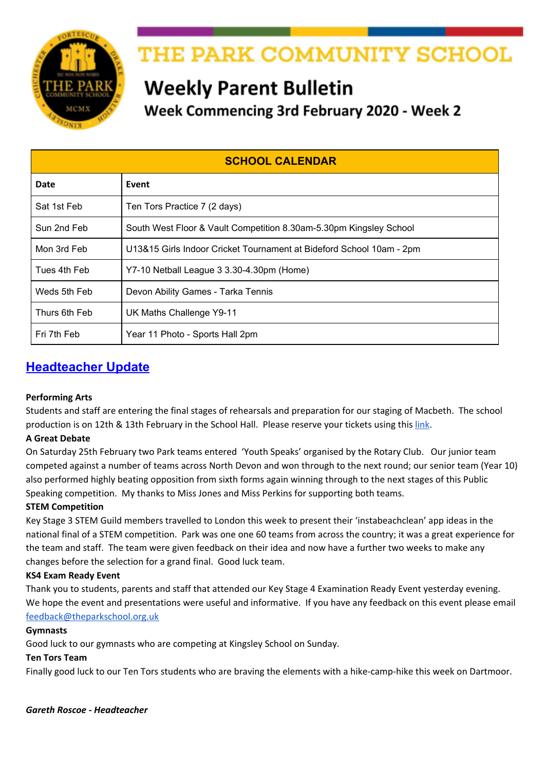## **MATHS INFORMATION**

| MATHS PUZZLE OF THE WEEK - Week 19                                                                                               | <b>Maths Puzzle of the</b><br><b>Week</b>                                                                                                                                                                                                                                                |
|----------------------------------------------------------------------------------------------------------------------------------|------------------------------------------------------------------------------------------------------------------------------------------------------------------------------------------------------------------------------------------------------------------------------------------|
| Put your solution in a Maths Puzzle Box by the end of Friday 7 <sup>*</sup> February for a<br>chance of winning the weekly prize | Each week the maths<br>department issue a<br>maths puzzle for<br>students.                                                                                                                                                                                                               |
| A large rectangle is made by joining three identical small rectangles as shown.<br>Not drawn<br>accurately                       | The Puzzle Of The<br>Week can be viewed<br>on your child's tutor<br>group notice board as<br>well as on display<br>outside Maths 11.<br>They should put their<br>solution in the box in<br>their Maths room by<br>the end of the week<br>for a chance of<br>winning the weekly<br>prize. |
| The perimeter of one small rectangle is 15 cm<br>Work out the perimeter of the large rectangle.                                  | The winner for week<br>18 was Hunnie<br><b>Williams 9MP</b>                                                                                                                                                                                                                              |

## **PARK COMMUNITY SCHOOL LOTTERY**

#### **This Weeks' Lucky Winner**

Congratulations to Mr B who won our biggest prize yet of £36.30.

If you are a winner and would also like to donate your winnings back to the school, we would be very grateful.

#### **Have you registered for the Lottery?**

If you have registered for the Lottery, please ensure you also set up your ticket. Eleven people have registered to play the lottery, but have not bought a ticket, so are not included in the lottery draw.

#### **Fitbit Offer - check out the offer on the School Lottery page**

#### **How the lottery benefits your school**

So far we have sold 125 tickets - each ticket costs £1 per week and **40%** of the money raised goes to Friends of Park school projects.

The lottery is a fun and effective way to raise money to improve our school. But we need your help to make the lottery the best it can be, so please support the lottery today - and who knows, maybe you'll be the next £25,000 winner!

## **For more information and to sign up click [here](https://www.yourschoollottery.co.uk/lottery/school/the-park-community-school).**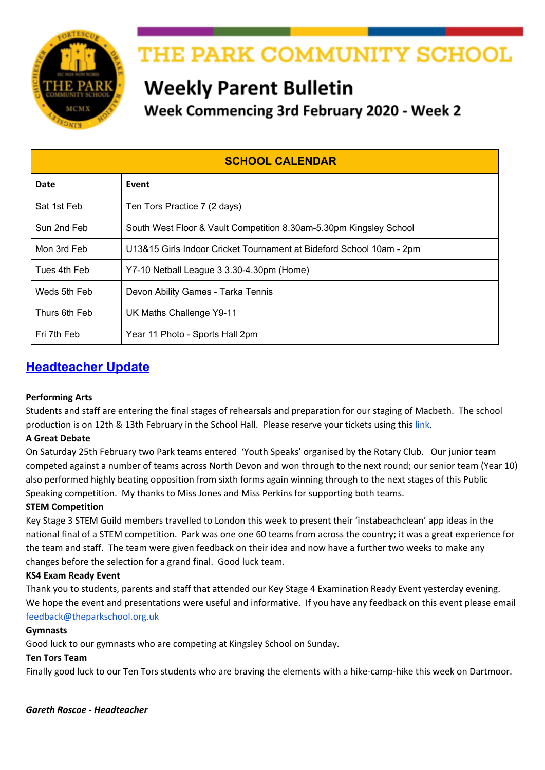## **Year 8 PTE The Langar**

Can parents/carers please return the reply slip and payment of £2.30 to Pupil Reception by **Monday 3rd February (deadline extended)**. If students have lost the letter there are spare copies at Pupil Reception. For students with Free School Meals there is no payment required but please return reply slip.

## **Year 9 Options Key Dates**

- **Monday 10th February** Return completed Options Forms to Tutors
- From **Monday 2nd March** Options Interviews
- **March, April and May** Timetabling and further conversations with students
- **June** Final subjects communicated with parents/students via letter

## **Year 9 Careers Programme – CAREER PILOT**

Year 9 students have all used the Career Pilot website to carry out research about subjects and the careers that subjects can lead to. This is part of the careers programme leading up to students making their subject choices in February. Students have a workbook to record their research and after the session on Career Pilot at school, can take the book home and show parents/carers how the website works and share the research they have carried out. They can continue research if they are undecided about which subjects to choose.

Students will also be receiving information from employers and Careers South West about employment opportunities in the South West. Petroc and Careers South West will be attending the Options Evening.

#### *SThomas*

## **YEAR 10 WORK EXPERIENCE**

## **Year 10 Work Experience**

If students have not heard from an employer they have written to, they should contact the employer to ask if a decision has been made. If the student has not secured a placement then they need to use the database below to look for other placements.

Students can adapt the letter they have already written and either post or email their letter. Students can access the database to look for placements used in the past: [http://devon.learnaboutwork.org](http://devon.learnaboutwork.org/) **Log In Details:** School Name: The Park Community School User Name: Park Student Password: 2121

#### **North Devon Hospice Opportunities**

The North Devon Hospice have many work experience opportunities in various departments. The two links below provide more information and an application form, for those who are interested. List of work [placements](https://drive.google.com/open?id=15sKDzQnv-jl4HPx3-FsZ5WMfOf1njk9q) Work [experience](https://drive.google.com/open?id=1ALmGqqZjk8Ycv41jQL3zuJrJrzaojh1Q) request form

## **KS4 INFORMATION**

## **Year 10 Mock GCSE & BTEC Exam Timetable**

Year 10 students were issued with the Mock and BTEC timetable today, a copy can also be found [here](http://www.theparkschool.org.uk/sites/default/files/Y10-Mock-and-BTEC-Exam-Timetable.pdf) and on our website under the "Events" menu.

#### **Year 11 Revision Session Timetable**

Please see link to the current Year 11 Revision Session [Timetable](https://docs.google.com/document/d/e/2PACX-1vTPsd4YeatVdWH7VU97eQjB6lHLh8SyB0wIFRd2DUkw8xKFuBKD-VyYHnyKrRgJA5s2dSnxWxr4AHIQ/pub) uploaded on our website under the "Events" menu. It would be great if parents/carers could encourage their sons/daughters in Year 11 to attend these revision sessions.